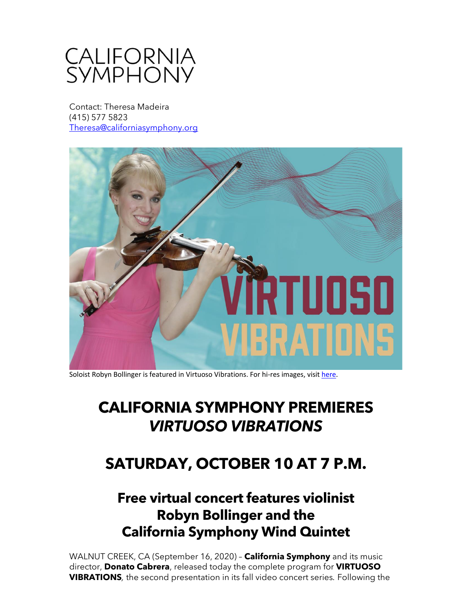

Contact: Theresa Madeira (415) 577 5823 [Theresa@californiasymphony.org](mailto:Theresa@californiasymphony.org) 



Soloist Robyn Bollinger is featured in Virtuoso Vibrations. For hi-res images, visit [here.](https://www.dropbox.com/sh/0eirt5c79im9v9g/AAD3HRugFqzCziO9kO7KOQH9a?dl=0)

## **CALIFORNIA SYMPHONY PREMIERES** *VIRTUOSO VIBRATIONS*

## **SATURDAY, OCTOBER 10 AT 7 P.M.**

## **Free virtual concert features violinist Robyn Bollinger and the California Symphony Wind Quintet**

WALNUT CREEK, CA (September 16, 2020) – **California Symphony** and its music director, **Donato Cabrera**, released today the complete program for **VIRTUOSO VIBRATIONS***,* the second presentation in its fall video concert series*.* Following the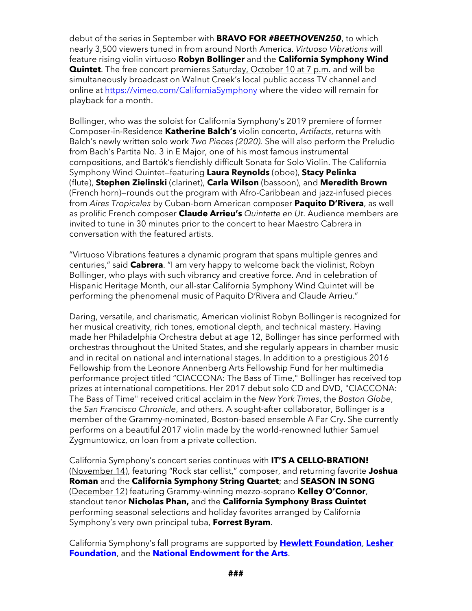debut of the series in September with **BRAVO FOR** *#BEETHOVEN250*, to which nearly 3,500 viewers tuned in from around North America. *Virtuoso Vibrations* will feature rising violin virtuoso **Robyn Bollinger** and the **California Symphony Wind Quintet**. The free concert premieres Saturday, October 10 at 7 p.m. and will be simultaneously broadcast on Walnut Creek's local public access TV channel and online at<https://vimeo.com/CaliforniaSymphony> where the video will remain for playback for a month.

Bollinger, who was the soloist for California Symphony's 2019 premiere of former Composer-in-Residence **Katherine Balch's** violin concerto, *Artifacts*, returns with Balch's newly written solo work *Two Pieces (2020).* She will also perform the Preludio from Bach's Partita No. 3 in E Major, one of his most famous instrumental compositions, and Bartók's fiendishly difficult Sonata for Solo Violin. The California Symphony Wind Quintet—featuring **Laura Reynolds** (oboe), **Stacy Pelinka** (flute), **Stephen Zielinski** (clarinet), **Carla Wilson** (bassoon), and **Meredith Brown** (French horn)—rounds out the program with Afro-Caribbean and jazz-infused pieces from *Aires Tropicales* by Cuban-born American composer **Paquito D'Rivera**, as well as prolific French composer **Claude Arrieu's** *Quintette en Ut*. Audience members are invited to tune in 30 minutes prior to the concert to hear Maestro Cabrera in conversation with the featured artists.

"Virtuoso Vibrations features a dynamic program that spans multiple genres and centuries," said **Cabrera**. "I am very happy to welcome back the violinist, Robyn Bollinger, who plays with such vibrancy and creative force. And in celebration of Hispanic Heritage Month, our all-star California Symphony Wind Quintet will be performing the phenomenal music of Paquito D'Rivera and Claude Arrieu."

Daring, versatile, and charismatic, American violinist Robyn Bollinger is recognized for her musical creativity, rich tones, emotional depth, and technical mastery. Having made her Philadelphia Orchestra debut at age 12, Bollinger has since performed with orchestras throughout the United States, and she regularly appears in chamber music and in recital on national and international stages. In addition to a prestigious 2016 Fellowship from the Leonore Annenberg Arts Fellowship Fund for her multimedia performance project titled "CIACCONA: The Bass of Time," Bollinger has received top prizes at international competitions. Her 2017 debut solo CD and DVD, "CIACCONA: The Bass of Time" received critical acclaim in the *New York Times*, the *Boston Globe*, the *San Francisco Chronicle*, and others. A sought-after collaborator, Bollinger is a member of the Grammy-nominated, Boston-based ensemble A Far Cry. She currently performs on a beautiful 2017 violin made by the world-renowned luthier Samuel Zygmuntowicz, on loan from a private collection.

California Symphony's concert series continues with **IT'S A CELLO-BRATION!** (November 14), featuring "Rock star cellist," composer, and returning favorite **Joshua Roman** and the **California Symphony String Quartet**; and **SEASON IN SONG** (December 12) featuring Grammy-winning mezzo-soprano **Kelley O'Connor**, standout tenor **Nicholas Phan,** and the **California Symphony Brass Quintet** performing seasonal selections and holiday favorites arranged by California Symphony's very own principal tuba, **Forrest Byram**.

California Symphony's fall programs are supported by **[Hewlett Foundation](https://hewlett.org/)**, **[Lesher](https://lesherfoundation.org/)  [Foundation](https://lesherfoundation.org/)**, and the **[National Endowment for the Arts](https://www.arts.gov/)**.